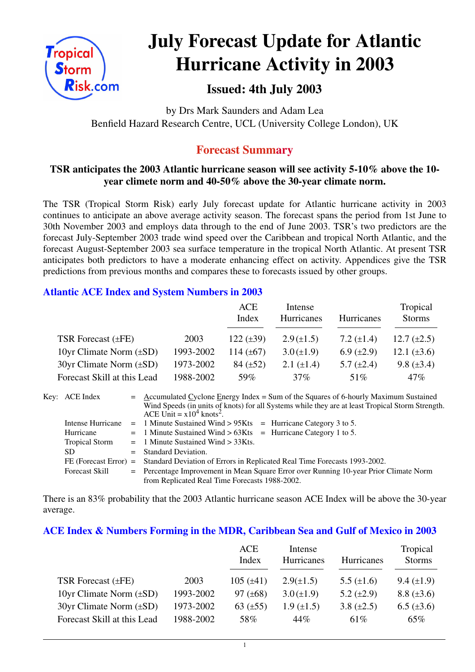

# **July Forecast Update for Atlantic Hurricane Activity in 2003**

# **Issued: 4th July 2003**

by Drs Mark Saunders and Adam Lea Benfield Hazard Research Centre, UCL (University College London), UK

# **Forecast Summary**

## **TSR anticipates the 2003 Atlantic hurricane season will see activity 5-10% above the 10 year climete norm and 40-50% above the 30-year climate norm.**

The TSR (Tropical Storm Risk) early July forecast update for Atlantic hurricane activity in 2003 continues to anticipate an above average activity season. The forecast spans the period from 1st June to 30th November 2003 and employs data through to the end of June 2003. TSR's two predictors are the forecast July-September 2003 trade wind speed over the Caribbean and tropical North Atlantic, and the forecast August-September 2003 sea surface temperature in the tropical North Atlantic. At present TSR anticipates both predictors to have a moderate enhancing effect on activity. Appendices give the TSR predictions from previous months and compares these to forecasts issued by other groups.

## **Atlantic ACE Index and System Numbers in 2003**

|                                |           | ACE<br>Index   | Intense<br>Hurricanes | Hurricanes      | Tropical<br><b>Storms</b> |
|--------------------------------|-----------|----------------|-----------------------|-----------------|---------------------------|
| TSR Forecast $(\pm FE)$        | 2003      | 122 $(\pm 39)$ | $2.9(\pm 1.5)$        | 7.2 $(\pm 1.4)$ | 12.7 $(\pm 2.5)$          |
| 10yr Climate Norm $(\pm SD)$   | 1993-2002 | 114 $(\pm 67)$ | $3.0 (\pm 1.9)$       | 6.9 $(\pm 2.9)$ | 12.1 $(\pm 3.6)$          |
| $30yr$ Climate Norm $(\pm SD)$ | 1973-2002 | $84 (\pm 52)$  | 2.1 $(\pm 1.4)$       | 5.7 $(\pm 2.4)$ | 9.8 $(\pm 3.4)$           |
| Forecast Skill at this Lead    | 1988-2002 | 59%            | $37\%$                | 51%             | $47\%$                    |

| Key: ACE Index        | $=$ Accumulated Cyclone Energy Index = Sum of the Squares of 6-hourly Maximum Sustained<br>Wind Speeds (in units of knots) for all Systems while they are at least Tropical Storm Strength.<br>ACE Unit = $x10^4$ knots <sup>2</sup> . |  |  |  |  |  |
|-----------------------|----------------------------------------------------------------------------------------------------------------------------------------------------------------------------------------------------------------------------------------|--|--|--|--|--|
| Intense Hurricane     | $=$ 1 Minute Sustained Wind > 95Kts $=$ Hurricane Category 3 to 5.                                                                                                                                                                     |  |  |  |  |  |
| Hurricane             | $=$ 1 Minute Sustained Wind > 63Kts $=$ Hurricane Category 1 to 5.                                                                                                                                                                     |  |  |  |  |  |
| <b>Tropical Storm</b> | $=$ 1 Minute Sustained Wind $>$ 33Kts.                                                                                                                                                                                                 |  |  |  |  |  |
| SD.                   | $=$ Standard Deviation.                                                                                                                                                                                                                |  |  |  |  |  |
|                       | FE (Forecast Error) = Standard Deviation of Errors in Replicated Real Time Forecasts 1993-2002.                                                                                                                                        |  |  |  |  |  |
| <b>Forecast Skill</b> | = Percentage Improvement in Mean Square Error over Running 10-year Prior Climate Norm                                                                                                                                                  |  |  |  |  |  |
|                       | from Replicated Real Time Forecasts 1988-2002.                                                                                                                                                                                         |  |  |  |  |  |

There is an 83% probability that the 2003 Atlantic hurricane season ACE Index will be above the 30-year average.

#### **ACE Index & Numbers Forming in the MDR, Caribbean Sea and Gulf of Mexico in 2003**

|           | <b>ACE</b>     | Intense           |                 | Tropical          |
|-----------|----------------|-------------------|-----------------|-------------------|
|           | Index          | Hurricanes        | Hurricanes      | <b>Storms</b>     |
|           |                |                   |                 |                   |
| 2003      | $105 (\pm 41)$ | $2.9(\pm 1.5)$    | 5.5 $(\pm 1.6)$ | $9.4 \ (\pm 1.9)$ |
| 1993-2002 | 97 $(\pm 68)$  | $3.0 (\pm 1.9)$   | 5.2 $(\pm 2.9)$ | $8.8 (\pm 3.6)$   |
| 1973-2002 | 63 $(\pm 55)$  | $1.9 \ (\pm 1.5)$ | 3.8 $(\pm 2.5)$ | $6.5 (\pm 3.6)$   |
| 1988-2002 | 58%            | 44%               | $61\%$          | $65\%$            |
|           |                |                   |                 |                   |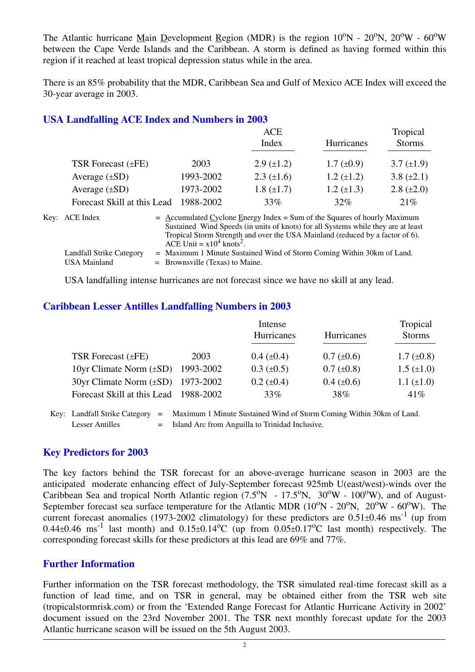The Atlantic hurricane Main Development Region (MDR) is the region  $10^{\circ}N - 20^{\circ}N$ ,  $20^{\circ}W - 60^{\circ}W$ between the Cape Verde Islands and the Caribbean. A storm is defined as having formed within this region if it reached at least tropical depression status while in the area.

There is an 85% probability that the MDR, Caribbean Sea and Gulf of Mexico ACE Index will exceed the 30-year average in 2003.

#### **USA Landfalling ACE Index and Numbers in 2003**

|           | ACE               |                   | Tropical          |
|-----------|-------------------|-------------------|-------------------|
|           | Index             | Hurricanes        | <b>Storms</b>     |
|           |                   |                   |                   |
|           |                   |                   | $3.7 (\pm 1.9)$   |
| 1993-2002 | $2.3 \ (\pm 1.6)$ | $1.2 \ (\pm 1.2)$ | 3.8 $(\pm 2.1)$   |
| 1973-2002 | $1.8 (\pm 1.7)$   | $1.2 \ (\pm 1.3)$ | $2.8 (\pm 2.0)$   |
| 1988-2002 | 33%               | 32%               | 21%               |
|           | 2003              | $2.9 \ (\pm 1.2)$ | $1.7 \ (\pm 0.9)$ |

| Key: ACE Index                           | $=$ Accumulated Cyclone Energy Index $=$ Sum of the Squares of hourly Maximum<br>Sustained Wind Speeds (in units of knots) for all Systems while they are at least<br>Tropical Storm Strength and over the USA Mainland (reduced by a factor of 6).<br>ACE Unit = $x10^4$ knots <sup>2</sup> . |
|------------------------------------------|------------------------------------------------------------------------------------------------------------------------------------------------------------------------------------------------------------------------------------------------------------------------------------------------|
| Landfall Strike Category<br>USA Mainland | $=$ Maximum 1 Minute Sustained Wind of Storm Coming Within 30km of Land.<br>$=$ Brownsville (Texas) to Maine.                                                                                                                                                                                  |

USA landfalling intense hurricanes are not forecast since we have no skill at any lead.

#### **Caribbean Lesser Antilles Landfalling Numbers in 2003**

|                                          |           | Intense           | Tropical          |                   |
|------------------------------------------|-----------|-------------------|-------------------|-------------------|
|                                          |           | Hurricanes        | <b>Hurricanes</b> | <b>Storms</b>     |
| TSR Forecast $(\pm FE)$                  | 2003      | $0.4~(\pm 0.4)$   | $0.7 (\pm 0.6)$   | $1.7 \ (\pm 0.8)$ |
| 10yr Climate Norm $(\pm SD)$             | 1993-2002 | $0.3 \ (\pm 0.5)$ | $0.7 (\pm 0.8)$   | $1.5 \ (\pm 1.0)$ |
| $30yr$ Climate Norm $(\pm SD)$ 1973-2002 |           | $0.2 (\pm 0.4)$   | $0.4 \ (\pm 0.6)$ | $1.1 (\pm 1.0)$   |
| Forecast Skill at this Lead 1988-2002    |           | 33%               | 38%               | 41%               |

Key: Landfall Strike Category = Maximum 1 Minute Sustained Wind of Storm Coming Within 30km of Land. Lesser Antilles = Island Arc from Anguilla to Trinidad Inclusive.

#### **Key Predictors for 2003**

The key factors behind the TSR forecast for an above-average hurricane season in 2003 are the anticipated moderate enhancing effect of July-September forecast 925mb U(east/west)-winds over the Caribbean Sea and tropical North Atlantic region  $(7.5^{\circ}N - 17.5^{\circ}N, 30^{\circ}W - 100^{\circ}W)$ , and of August-September forecast sea surface temperature for the Atlantic MDR  $(10^{\circ}N - 20^{\circ}N, 20^{\circ}W - 60^{\circ}W)$ . The current forecast anomalies (1973-2002 climatology) for these predictors are  $0.51\pm0.46$  ms<sup>-1</sup> (up from 0.44 $\pm$ 0.46 ms<sup>-1</sup> last month) and 0.15 $\pm$ 0.14<sup>o</sup>C (up from 0.05 $\pm$ 0.17<sup>o</sup>C last month) respectively. The corresponding forecast skills for these predictors at this lead are 69% and 77%.

#### **Further Information**

Further information on the TSR forecast methodology, the TSR simulated real-time forecast skill as a function of lead time, and on TSR in general, may be obtained either from the TSR web site (tropicalstormrisk.com) or from the 'Extended Range Forecast for Atlantic Hurricane Activity in 2002' document issued on the 23rd November 2001. The TSR next monthly forecast update for the 2003 Atlantic hurricane season will be issued on the 5th August 2003.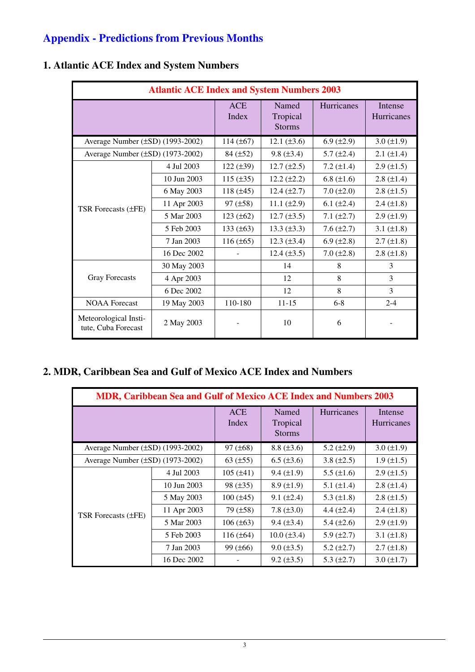# **Appendix - Predictions from Previous Months**

| <b>Atlantic ACE Index and System Numbers 2003</b> |             |                     |                                    |                   |                       |  |
|---------------------------------------------------|-------------|---------------------|------------------------------------|-------------------|-----------------------|--|
|                                                   |             | <b>ACE</b><br>Index | Named<br>Tropical<br><b>Storms</b> | <b>Hurricanes</b> | Intense<br>Hurricanes |  |
| Average Number $(\pm SD)$ (1993-2002)             |             | 114 $(\pm 67)$      | 12.1 $(\pm 3.6)$                   | 6.9 $(\pm 2.9)$   | $3.0 (\pm 1.9)$       |  |
| Average Number $(\pm SD)$ (1973-2002)             |             | $84 (\pm 52)$       | $9.8 (\pm 3.4)$                    | 5.7 $(\pm 2.4)$   | $2.1 (\pm 1.4)$       |  |
|                                                   | 4 Jul 2003  | 122 $(\pm 39)$      | $12.7 (\pm 2.5)$                   | 7.2 $(\pm 1.4)$   | $2.9 \ (\pm 1.5)$     |  |
|                                                   | 10 Jun 2003 | 115 $(\pm 35)$      | $12.2 (\pm 2.2)$                   | 6.8 $(\pm 1.6)$   | $2.8 \ (\pm 1.4)$     |  |
| <b>TSR Forecasts (±FE)</b>                        | 6 May 2003  | 118 $(\pm 45)$      | $12.4 \ (\pm 2.7)$                 | $7.0 (\pm 2.0)$   | $2.8 \ (\pm 1.5)$     |  |
|                                                   | 11 Apr 2003 | $97 (\pm 58)$       | 11.1 $(\pm 2.9)$                   | 6.1 $(\pm 2.4)$   | $2.4 \ (\pm 1.8)$     |  |
|                                                   | 5 Mar 2003  | 123 $(\pm 62)$      | $12.7 \ (\pm 3.5)$                 | 7.1 $(\pm 2.7)$   | $2.9 \ (\pm 1.9)$     |  |
|                                                   | 5 Feb 2003  | 133 $(\pm 63)$      | 13.3 $(\pm 3.3)$                   | 7.6 $(\pm 2.7)$   | 3.1 $(\pm 1.8)$       |  |
|                                                   | 7 Jan 2003  | $116 (\pm 65)$      | $12.3 \ (\pm 3.4)$                 | 6.9 $(\pm 2.8)$   | $2.7 (\pm 1.8)$       |  |
|                                                   | 16 Dec 2002 |                     | $12.4 (\pm 3.5)$                   | $7.0 (\pm 2.8)$   | $2.8 \ (\pm 1.8)$     |  |
|                                                   | 30 May 2003 |                     | 14                                 | 8                 | 3                     |  |
| <b>Gray Forecasts</b>                             | 4 Apr 2003  |                     | 12                                 | 8                 | 3                     |  |
|                                                   | 6 Dec 2002  |                     | 12                                 | 8                 | 3                     |  |
| <b>NOAA</b> Forecast                              | 19 May 2003 | 110-180             | $11 - 15$                          | $6 - 8$           | $2 - 4$               |  |
| Meteorological Insti-<br>tute, Cuba Forecast      | 2 May 2003  |                     | 10                                 | 6                 |                       |  |

# **1. Atlantic ACE Index and System Numbers**

## **2. MDR, Caribbean Sea and Gulf of Mexico ACE Index and Numbers**

| <b>MDR, Caribbean Sea and Gulf of Mexico ACE Index and Numbers 2003</b> |             |                     |                                    |                   |                              |  |  |
|-------------------------------------------------------------------------|-------------|---------------------|------------------------------------|-------------------|------------------------------|--|--|
|                                                                         |             | <b>ACE</b><br>Index | Named<br>Tropical<br><b>Storms</b> | <b>Hurricanes</b> | Intense<br><b>Hurricanes</b> |  |  |
| Average Number $(\pm SD)$ (1993-2002)                                   |             | $97 (\pm 68)$       | $8.8 (\pm 3.6)$                    | 5.2 $(\pm 2.9)$   | $3.0 (\pm 1.9)$              |  |  |
| Average Number $(\pm SD)$ (1973-2002)                                   |             | 63 $(\pm 55)$       | $6.5 (\pm 3.6)$                    | 3.8 $(\pm 2.5)$   | $1.9 \ (\pm 1.5)$            |  |  |
|                                                                         | 4 Jul 2003  | $105 (\pm 41)$      | $9.4 \ (\pm 1.9)$                  | 5.5 $(\pm 1.6)$   | $2.9 \ (\pm 1.5)$            |  |  |
|                                                                         | 10 Jun 2003 | $98 (\pm 35)$       | $8.9 \ (\pm 1.9)$                  | 5.1 $(\pm 1.4)$   | $2.8 \ (\pm 1.4)$            |  |  |
|                                                                         | 5 May 2003  | $100 (\pm 45)$      | $9.1 (\pm 2.4)$                    | 5.3 $(\pm 1.8)$   | $2.8 (\pm 1.5)$              |  |  |
| <b>TSR Forecasts (±FE)</b>                                              | 11 Apr 2003 | 79 (±58)            | 7.8 $(\pm 3.0)$                    | 4.4 $(\pm 2.4)$   | $2.4 (\pm 1.8)$              |  |  |
|                                                                         | 5 Mar 2003  | $106 (\pm 63)$      | $9.4 \ (\pm 3.4)$                  | 5.4 $(\pm 2.6)$   | $2.9 \ (\pm 1.9)$            |  |  |
|                                                                         | 5 Feb 2003  | $116 (\pm 64)$      | $10.0 (\pm 3.4)$                   | 5.9 $(\pm 2.7)$   | 3.1 $(\pm 1.8)$              |  |  |
|                                                                         | 7 Jan 2003  | $99 (\pm 66)$       | $9.0 \ (\pm 3.5)$                  | $5.2 (\pm 2.7)$   | $2.7 (\pm 1.8)$              |  |  |
|                                                                         | 16 Dec 2002 |                     | $9.2 (\pm 3.5)$                    | 5.3 $(\pm 2.7)$   | $3.0 (\pm 1.7)$              |  |  |